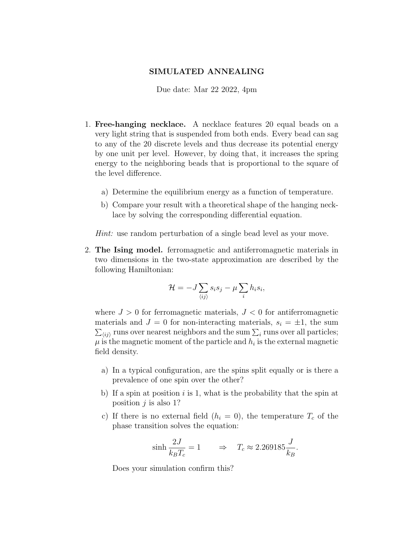## SIMULATED ANNEALING

Due date: Mar 22 2022, 4pm

- 1. Free-hanging necklace. A necklace features 20 equal beads on a very light string that is suspended from both ends. Every bead can sag to any of the 20 discrete levels and thus decrease its potential energy by one unit per level. However, by doing that, it increases the spring energy to the neighboring beads that is proportional to the square of the level difference.
	- a) Determine the equilibrium energy as a function of temperature.
	- b) Compare your result with a theoretical shape of the hanging necklace by solving the corresponding differential equation.

Hint: use random perturbation of a single bead level as your move.

2. The Ising model. ferromagnetic and antiferromagnetic materials in two dimensions in the two-state approximation are described by the following Hamiltonian:

$$
\mathcal{H} = -J \sum_{\langle ij \rangle} s_i s_j - \mu \sum_i h_i s_i,
$$

where  $J > 0$  for ferromagnetic materials,  $J < 0$  for antiferromagnetic materials and  $J = 0$  for non-interacting materials,  $s_i = \pm 1$ , the sum  $\sum_{\langle ij \rangle}$  runs over nearest neighbors and the sum  $\sum_i$  runs over all particles;  $\mu$  is the magnetic moment of the particle and  $h_i$  is the external magnetic field density.

- a) In a typical configuration, are the spins split equally or is there a prevalence of one spin over the other?
- b) If a spin at position i is 1, what is the probability that the spin at position  $j$  is also 1?
- c) If there is no external field  $(h_i = 0)$ , the temperature  $T_c$  of the phase transition solves the equation:

$$
\sinh \frac{2J}{k_B T_c} = 1 \qquad \Rightarrow \quad T_c \approx 2.269185 \frac{J}{k_B}.
$$

Does your simulation confirm this?